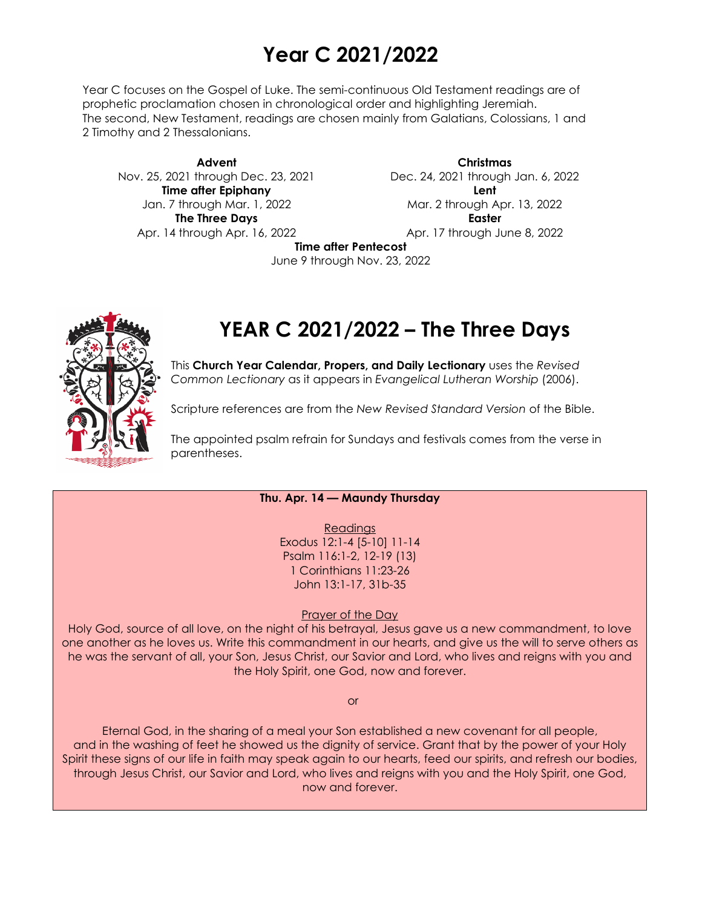## **Year C 2021/2022**

Year C focuses on the Gospel of Luke. The semi-continuous Old Testament readings are of prophetic proclamation chosen in chronological order and highlighting Jeremiah. The second, New Testament, readings are chosen mainly from Galatians, Colossians, 1 and 2 Timothy and 2 Thessalonians.

**Advent** Nov. 25, 2021 through Dec. 23, 2021 **Time after Epiphany** Jan. 7 through Mar. 1, 2022 **The Three Days** Apr. 14 through Apr. 16, 2022

**Christmas** Dec. 24, 2021 through Jan. 6, 2022 **Lent** Mar. 2 through Apr. 13, 2022 **Easter** Apr. 17 through June 8, 2022

**Time after Pentecost**

June 9 through Nov. 23, 2022

# **YEAR C 2021/2022 – The Three Days**

This **Church Year Calendar, Propers, and Daily Lectionary** uses the *Revised Common Lectionary* as it appears in *Evangelical Lutheran Worship* (2006).

Scripture references are from the *New Revised Standard Version* of the Bible.

The appointed psalm refrain for Sundays and festivals comes from the verse in parentheses.

### **Thu. Apr. 14 — Maundy Thursday**

Readings Exodus 12:1-4 [5-10] 11-14 Psalm 116:1-2, 12-19 (13) 1 Corinthians 11:23-26 John 13:1-17, 31b-35

Prayer of the Day

Holy God, source of all love, on the night of his betrayal, Jesus gave us a new commandment, to love one another as he loves us. Write this commandment in our hearts, and give us the will to serve others as he was the servant of all, your Son, Jesus Christ, our Savior and Lord, who lives and reigns with you and the Holy Spirit, one God, now and forever.

or

Eternal God, in the sharing of a meal your Son established a new covenant for all people, and in the washing of feet he showed us the dignity of service. Grant that by the power of your Holy Spirit these signs of our life in faith may speak again to our hearts, feed our spirits, and refresh our bodies, through Jesus Christ, our Savior and Lord, who lives and reigns with you and the Holy Spirit, one God, now and forever.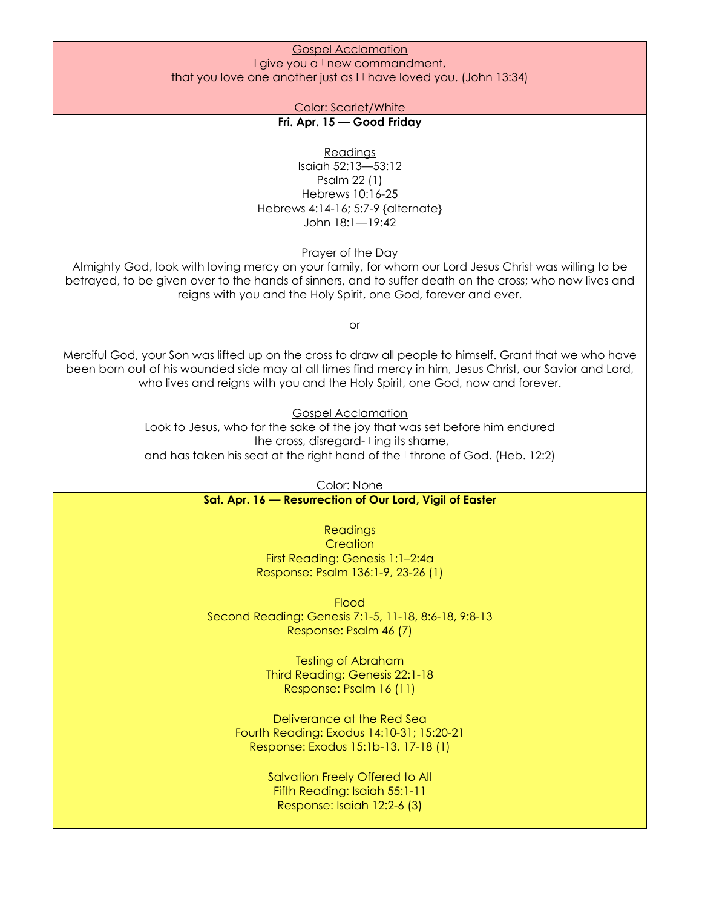#### Gospel Acclamation I give you a  $\perp$  new commandment, that you love one another just as  $I<sup>T</sup>$  have loved you. (John 13:34)

Color: Scarlet/White

## **Fri. Apr. 15 — Good Friday**

Readings

Isaiah 52:13—53:12 Psalm 22 (1) Hebrews 10:16-25 Hebrews 4:14-16; 5:7-9 {alternate} John 18:1—19:42

Prayer of the Day

Almighty God, look with loving mercy on your family, for whom our Lord Jesus Christ was willing to be betrayed, to be given over to the hands of sinners, and to suffer death on the cross; who now lives and reigns with you and the Holy Spirit, one God, forever and ever.

or

Merciful God, your Son was lifted up on the cross to draw all people to himself. Grant that we who have been born out of his wounded side may at all times find mercy in him, Jesus Christ, our Savior and Lord, who lives and reigns with you and the Holy Spirit, one God, now and forever.

> Gospel Acclamation Look to Jesus, who for the sake of the joy that was set before him endured the cross, disregard- I ing its shame, and has taken his seat at the right hand of the I throne of God. (Heb. 12:2)

> > Color: None

**Sat. Apr. 16 — Resurrection of Our Lord, Vigil of Easter**

**Readings** 

**Creation** First Reading: Genesis 1:1–2:4a Response: Psalm 136:1-9, 23-26 (1)

Flood Second Reading: Genesis 7:1-5, 11-18, 8:6-18, 9:8-13 Response: Psalm 46 (7)

> Testing of Abraham Third Reading: Genesis 22:1-18 Response: Psalm 16 (11)

Deliverance at the Red Sea Fourth Reading: Exodus 14:10-31; 15:20-21 Response: Exodus 15:1b-13, 17-18 (1)

> Salvation Freely Offered to All Fifth Reading: Isaiah 55:1-11 Response: Isaiah 12:2-6 (3)